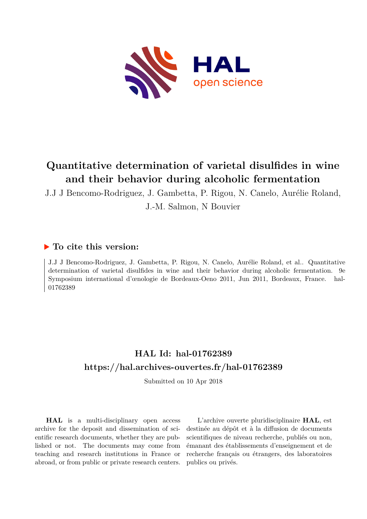

# **Quantitative determination of varietal disulfides in wine and their behavior during alcoholic fermentation**

J.J J Bencomo-Rodriguez, J. Gambetta, P. Rigou, N. Canelo, Aurélie Roland, J.-M. Salmon, N Bouvier

### **To cite this version:**

J.J J Bencomo-Rodriguez, J. Gambetta, P. Rigou, N. Canelo, Aurélie Roland, et al.. Quantitative determination of varietal disulfides in wine and their behavior during alcoholic fermentation. 9e Symposium international d'œnologie de Bordeaux-Oeno 2011, Jun 2011, Bordeaux, France. hal-01762389

# **HAL Id: hal-01762389 <https://hal.archives-ouvertes.fr/hal-01762389>**

Submitted on 10 Apr 2018

**HAL** is a multi-disciplinary open access archive for the deposit and dissemination of scientific research documents, whether they are published or not. The documents may come from teaching and research institutions in France or abroad, or from public or private research centers.

L'archive ouverte pluridisciplinaire **HAL**, est destinée au dépôt et à la diffusion de documents scientifiques de niveau recherche, publiés ou non, émanant des établissements d'enseignement et de recherche français ou étrangers, des laboratoires publics ou privés.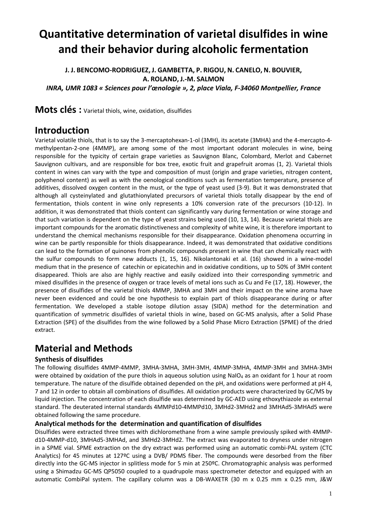# **Quantitative determination of varietal disulfides in wine and their behavior during alcoholic fermentation**

**J. J. BENCOMO-RODRIGUEZ, J. GAMBETTA, P. RIGOU, N. CANELO, N. BOUVIER, A. ROLAND, J.-M. SALMON** 

*INRA, UMR 1083 « Sciences pour l'œnologie », 2, place Viala, F-34060 Montpellier, France* 

**Mots clés :** Varietal thiols, wine, oxidation, disulfides

## **Introduction**

Varietal volatile thiols, that is to say the 3-mercaptohexan-1-ol (3MH), its acetate (3MHA) and the 4-mercapto-4 methylpentan-2-one (4MMP), are among some of the most important odorant molecules in wine, being responsible for the typicity of certain grape varieties as Sauvignon Blanc, Colombard, Merlot and Cabernet Sauvignon cultivars, and are responsible for box tree, exotic fruit and grapefruit aromas (1, 2). Varietal thiols content in wines can vary with the type and composition of must (origin and grape varieties, nitrogen content, polyphenol content) as well as with the oenological conditions such as fermentation temperature, presence of additives, dissolved oxygen content in the must, or the type of yeast used (3-9). But it was demonstrated that although all cysteinylated and glutathionylated precursors of varietal thiols totally disappear by the end of fermentation, thiols content in wine only represents a 10% conversion rate of the precursors (10-12). In addition, it was demonstrated that thiols content can significantly vary during fermentation or wine storage and that such variation is dependent on the type of yeast strains being used (10, 13, 14). Because varietal thiols are important compounds for the aromatic distinctiveness and complexity of white wine, it is therefore important to understand the chemical mechanisms responsible for their disappearance. Oxidation phenomena occurring in wine can be partly responsible for thiols disappearance. Indeed, it was demonstrated that oxidative conditions can lead to the formation of quinones from phenolic compounds present in wine that can chemically react with the sulfur compounds to form new adducts (1, 15, 16). Nikolantonaki et al. (16) showed in a wine-model medium that in the presence of catechin or epicatechin and in oxidative conditions, up to 50% of 3MH content disappeared. Thiols are also are highly reactive and easily oxidized into their corresponding symmetric and mixed disulfides in the presence of oxygen or trace levels of metal ions such as Cu and Fe (17, 18). However, the presence of disulfides of the varietal thiols 4MMP, 3MHA and 3MH and their impact on the wine aroma have never been evidenced and could be one hypothesis to explain part of thiols disappearance during or after fermentation. We developed a stable isotope dilution assay (SIDA) method for the determination and quantification of symmetric disulfides of varietal thiols in wine, based on GC-MS analysis, after a Solid Phase Extraction (SPE) of the disulfides from the wine followed by a Solid Phase Micro Extraction (SPME) of the dried extract.

# **Material and Methods**

### **Synthesis of disulfides**

The following disulfides 4MMP-4MMP, 3MHA-3MHA, 3MH-3MH, 4MMP-3MHA, 4MMP-3MH and 3MHA-3MH were obtained by oxidation of the pure thiols in aqueous solution using NaIO $_4$  as an oxidant for 1 hour at room temperature. The nature of the disulfide obtained depended on the pH, and oxidations were performed at pH 4, 7 and 12 in order to obtain all combinations of disulfides. All oxidation products were characterized by GC/MS by liquid injection. The concentration of each disulfide was determined by GC-AED using ethoxythiazole as external standard. The deuterated internal standards 4MMPd10-4MMPd10, 3MHd2-3MHd2 and 3MHAd5-3MHAd5 were obtained following the same procedure.

### **Analytical methods for the determination and quantification of disulfides**

Disulfides were extracted three times with dichloromethane from a wine sample previously spiked with 4MMPd10-4MMP-d10, 3MHAd5-3MHAd, and 3MHd2-3MHd2. The extract was evaporated to dryness under nitrogen in a SPME vial. SPME extraction on the dry extract was performed using an automatic combi-PAL system (CTC Analytics) for 45 minutes at 127ºC using a DVB/ PDMS fiber. The compounds were desorbed from the fiber directly into the GC-MS injector in splitless mode for 5 min at 250ºC. Chromatographic analysis was performed using a Shimadzu GC-MS QP5050 coupled to a quadrupole mass spectrometer detector and equipped with an automatic CombiPal system. The capillary column was a DB-WAXETR (30 m x 0.25 mm x 0.25 mm, J&W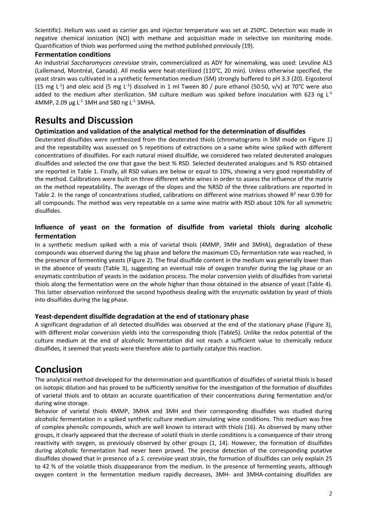Scientific). Helium was used as carrier gas and injector temperature was set at 250ºC. Detection was made in negative chemical ionization (NCI) with methane and acquisition made in selective ion monitoring mode. Quantification of thiols was performed using the method published previously (19).

#### **Fermentation conditions**

An industrial *Saccharomyces cerevisiae* strain, commercialized as ADY for winemaking, was used: Levuline ALS (Lallemand, Montréal, Canada). All media were heat-sterilized (110°C, 20 min). Unless otherwise specified, the yeast strain was cultivated in a synthetic fermentation medium (SM) strongly buffered to pH 3.3 (20). Ergosterol (15 mg L<sup>-1</sup>) and oleic acid (5 mg L<sup>-1</sup>) dissolved in 1 ml Tween 80 / pure ethanol (50:50, v/v) at 70°C were also added to the medium after sterilization. SM culture medium was spiked before inoculation with 623 ng  $L<sup>-1</sup>$ 4MMP, 2.09  $\mu$ g L<sup>-1</sup> 3MH and 580 ng L<sup>-1</sup> 3MHA.

### **Results and Discussion**

#### **Optimization and validation of the analytical method for the determination of disulfides**

Deuterated disulfides were synthesized from the deuterated thiols (chromatograms in SIM mode on Figure 1) and the repeatability was assessed on 5 repetitions of extractions on a same white wine spiked with different concentrations of disulfides. For each natural mixed disulfide, we considered two related deuterated analogues disulfides and selected the one that gave the best % RSD. Selected deuterated analogues and % RSD obtained are reported in Table 1. Finally, all RSD values are below or equal to 10%, showing a very good repeatability of the method. Calibrations were built on three different white wines in order to assess the influence of the matrix on the method repeatability. The average of the slopes and the %RSD of the three calibrations are reported in Table 2. In the range of concentrations studied, calibrations on different wine matrices showed  $R^2$  near 0.99 for all compounds. The method was very repeatable on a same wine matrix with RSD about 10% for all symmetric disulfides.

### **Influence of yeast on the formation of disulfide from varietal thiols during alcoholic fermentation**

In a synthetic medium spiked with a mix of varietal thiols (4MMP, 3MH and 3MHA), degradation of these compounds was observed during the lag phase and before the maximum  $CO<sub>2</sub>$  fermentation rate was reached, in the presence of fermenting yeasts (Figure 2). The final disulfide content in the medium was generally lower than in the absence of yeasts (Table 3), suggesting an eventual role of oxygen transfer during the lag phase or an enzymatic contribution of yeasts in the oxidation process. The molar conversion yields of disulfides from varietal thiols along the fermentation were on the whole higher than those obtained in the absence of yeast (Table 4). This latter observation reinforced the second hypothesis dealing with the enzymatic oxidation by yeast of thiols into disulfides during the lag phase.

#### **Yeast-dependent disulfide degradation at the end of stationary phase**

A significant degradation of all detected disulfides was observed at the end of the stationary phase (Figure 3), with different molar conversion yields into the corresponding thiols (Table5). Unlike the redox potential of the culture medium at the end of alcoholic fermentation did not reach a sufficient value to chemically reduce disulfides, it seemed that yeasts were therefore able to partially catalyze this reaction.

### **Conclusion**

The analytical method developed for the determination and quantification of disulfides of varietal thiols is based on isotopic dilution and has proved to be sufficiently sensitive for the investigation of the formation of disulfides of varietal thiols and to obtain an accurate quantification of their concentrations during fermentation and/or during wine storage.

Behavior of varietal thiols 4MMP, 3MHA and 3MH and their corresponding disulfides was studied during alcoholic fermentation in a spiked synthetic culture medium simulating wine conditions. This medium was free of complex phenolic compounds, which are well known to interact with thiols (16). As observed by many other groups, it clearly appeared that the decrease of volatil thiols in sterile conditions is a consequence of their strong reactivity with oxygen, as previously observed by other groups (1, 14). However, the formation of disulfides during alcoholic fermentation had never been proved. The precise detection of the corresponding putative disulfides showed that in presence of a *S. cerevisiae* yeast strain, the formation of disulfides can only explain 25 to 42 % of the volatile thiols disappearance from the medium. In the presence of fermenting yeasts, although oxygen content in the fermentation medium rapidly decreases, 3MH- and 3MHA-containing disulfides are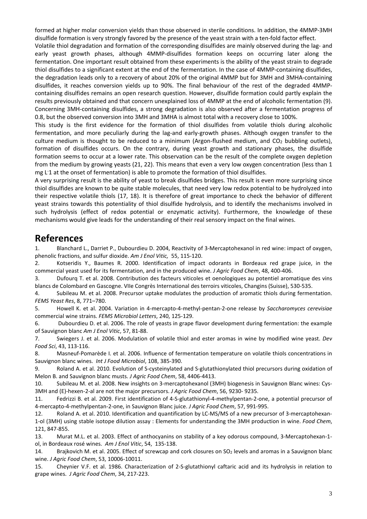formed at higher molar conversion yields than those observed in sterile conditions. In addition, the 4MMP-3MH disulfide formation is very strongly favored by the presence of the yeast strain with a ten-fold factor effect.

Volatile thiol degradation and formation of the corresponding disulfides are mainly observed during the lag- and early yeast growth phases, although 4MMP-disulfides formation keeps on occurring later along the fermentation. One important result obtained from these experiments is the ability of the yeast strain to degrade thiol disulfides to a significant extent at the end of the fermentation. In the case of 4MMP-containing disulfides, the degradation leads only to a recovery of about 20% of the original 4MMP but for 3MH and 3MHA-containing disulfides, it reaches conversion yields up to 90%. The final behaviour of the rest of the degraded 4MMPcontaining disulfides remains an open research question. However, disulfide formation could partly explain the results previously obtained and that concern unexplained loss of 4MMP at the end of alcoholic fermentation (9). Concerning 3MH-containing disulfides, a strong degradation is also observed after a fermentation progress of 0.8, but the observed conversion into 3MH and 3MHA is almost total with a recovery close to 100%.

This study is the first evidence for the formation of thiol disulfides from volatile thiols during alcoholic fermentation, and more peculiarly during the lag-and early-growth phases. Although oxygen transfer to the culture medium is thought to be reduced to a minimum (Argon-flushed medium, and  $CO<sub>2</sub>$  bubbling outlets), formation of disulfides occurs. On the contrary, during yeast growth and stationary phases, the disulfide formation seems to occur at a lower rate. This observation can be the result of the complete oxygen depletion from the medium by growing yeasts (21, 22). This means that even a very low oxygen concentration (less than 1 mg L-1 at the onset of fermentation) is able to promote the formation of thiol disulfides.

A very surprising result is the ability of yeast to break disulfides bridges. This result is even more surprising since thiol disulfides are known to be quite stable molecules, that need very low redox potential to be hydrolyzed into their respective volatile thiols (17, 18). It is therefore of great importance to check the behavior of different yeast strains towards this potentiality of thiol disulfide hydrolysis, and to identify the mechanisms involved in such hydrolysis (effect of redox potential or enzymatic activity). Furthermore, the knowledge of these mechanisms would give leads for the understanding of their real sensory impact on the final wines.

### **References**

1. Blanchard L., Darriet P., Dubourdieu D. 2004, Reactivity of 3-Mercaptohexanol in red wine: impact of oxygen, phenolic fractions, and sulfur dioxide. *Am J Enol Vitic,* 55, 115-120.

2. Kotseridis Y., Baumes R. 2000. Identification of impact odorants in Bordeaux red grape juice, in the commercial yeast used for its fermentation, and in the produced wine. *J Agric Food Chem*, 48, 400-406.

3. Dufourq T. et al. 2008. Contribution des facteurs viticoles et oenologiques au potentiel aromatique des vins blancs de Colombard en Gascogne. VIIe Congrès International des terroirs viticoles, Changins (Suisse), 530-535.

4. Subileau M. et al. 2008. Precursor uptake modulates the production of aromatic thiols during fermentation. *FEMS Yeast Res*, 8, 771–780.

5. Howell K. et al. 2004. Variation in 4-mercapto-4-methyl-pentan-2-one release by *Saccharomyces cerevisiae* commercial wine strains. *FEMS Microbiol Letters*, 240, 125-129.

6. Dubourdieu D. et al. 2006. The role of yeasts in grape flavor development during fermentation: the example of Sauvignon blanc *Am J Enol Vitic*, 57, 81-88.

7. Swiegers J. et al. 2006. Modulation of volatile thiol and ester aromas in wine by modified wine yeast. *Dev Food Sci*, 43, 113-116.

8. Masneuf-Pomarède I. et al. 2006. Influence of fermentation temperature on volatile thiols concentrations in Sauvignon blanc wines. *Int J Food Microbiol*, 108, 385-390.

9. Roland A. et al. 2010. Evolution of S-cysteinylated and S-glutathionylated thiol precursors during oxidation of Melon B. and Sauvignon blanc musts. *J Agric Food Chem*, 58, 4406-4413.

10. Subileau M. et al. 2008. New insights on 3-mercaptohexanol (3MH) biogenesis in Sauvignon Blanc wines: Cys-3MH and (E)-hexen-2-al are not the major precursors. *J Agric Food Chem*, 56, 9230- 9235.

11. Fedrizzi B. et al. 2009. First identification of 4-S-glutathionyl-4-methylpentan-2-one, a potential precursor of 4-mercapto-4-methylpentan-2-one, in Sauvignon Blanc juice. *J Agric Food Chem*, 57, 991-995.

12. Roland A. et al. 2010. Identification and quantification by LC-MS/MS of a new precursor of 3-mercaptohexan-1-ol (3MH) using stable isotope dilution assay : Elements for understanding the 3MH production in wine. *Food Chem*, 121, 847-855.

13. Murat M.L. et al. 2003. Effect of anthocyanins on stability of a key odorous compound, 3-Mercaptohexan-1 ol, in Bordeaux rosé wines. *Am J Enol Vitic*, 54, 135-138.

14. Brajkovich M. et al. 2005. Effect of screwcap and cork closures on SO2 levels and aromas in a Sauvignon blanc wine. *J Agric Food Chem*, 53, 10006-10011.

15. Cheynier V.F. et al. 1986. Characterization of 2-S-glutathionyl caftaric acid and its hydrolysis in relation to grape wines. *J Agric Food Chem*, 34, 217-223.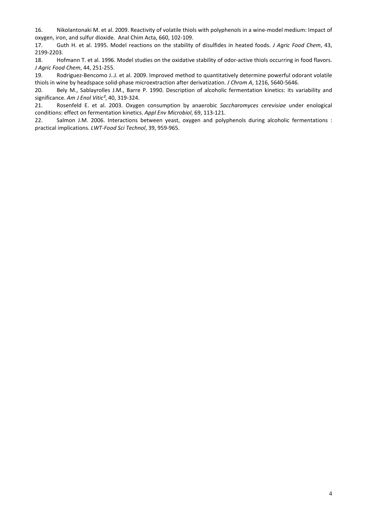16. Nikolantonaki M. et al. 2009. Reactivity of volatile thiols with polyphenols in a wine-model medium: Impact of oxygen, iron, and sulfur dioxide. Anal Chim Acta, 660, 102-109.

17. Guth H. et al. 1995. Model reactions on the stability of disulfides in heated foods. *J Agric Food Chem*, 43, 2199-2203.

18. Hofmann T. et al. 1996. Model studies on the oxidative stability of odor-active thiols occurring in food flavors. *J Agric Food Chem*, 44, 251-255.

19. Rodriguez-Bencomo J..J. et al. 2009. Improved method to quantitatively determine powerful odorant volatile thiols in wine by headspace solid-phase microextraction after derivatization. *J Chrom A*, 1216, 5640-5646.

20. Bely M., Sablayrolles J.M., Barre P. 1990. Description of alcoholic fermentation kinetics: its variability and significance. *Am J Enol Vitic²*, 40, 319-324.

21. Rosenfeld E. et al. 2003. Oxygen consumption by anaerobic *Saccharomyces cerevisiae* under enological conditions: effect on fermentation kinetics. *Appl Env Microbiol*, 69, 113-121.

22. Salmon J.M. 2006. Interactions between yeast, oxygen and polyphenols during alcoholic fermentations : practical implications. *LWT-Food Sci Technol*, 39, 959-965.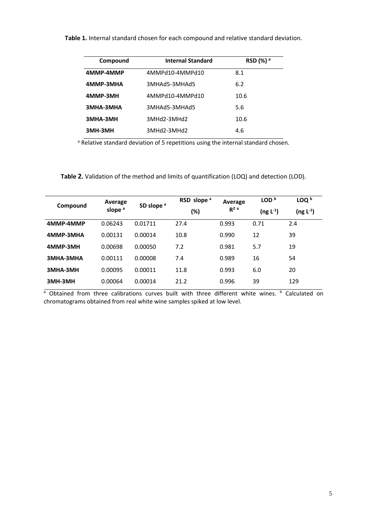| Table 1. Internal standard chosen for each compound and relative standard deviation. |  |
|--------------------------------------------------------------------------------------|--|
|--------------------------------------------------------------------------------------|--|

| Compound         | <b>Internal Standard</b> | RSD $(\%)^a$ |  |
|------------------|--------------------------|--------------|--|
| 4MMP-4MMP        | 4MMPd10-4MMPd10          | 8.1          |  |
| 4MMP-3MHA        | 3MHAd5-3MHAd5            | 6.2          |  |
| 4MMP-3MH         | 4MMPd10-4MMPd10          | 10.6         |  |
| <b>3MHA-3MHA</b> | 3MHAd5-3MHAd5            | 5.6          |  |
| 3MHA-3MH         | 3MHd2-3MHd2              | 10.6         |  |
| 3MH-3MH          | 3MHd2-3MHd2              | 4.6          |  |

<sup>a</sup> Relative standard deviation of 5 repetitions using the internal standard chosen.

### **Table 2.** Validation of the method and limits of quantification (LOQ) and detection (LOD).

| Compound         | Average<br>slope <sup>a</sup> | SD slope <sup>a</sup> | RSD slope <sup>a</sup><br>(%) | Average<br>$R2$ a | LOD <sup>b</sup><br>$($ ng L <sup>-1</sup> $)$ | LOQ <sup>b</sup><br>$(ng L^{-1})$ |
|------------------|-------------------------------|-----------------------|-------------------------------|-------------------|------------------------------------------------|-----------------------------------|
| 4MMP-4MMP        | 0.06243                       | 0.01711               | 27.4                          | 0.993             | 0.71                                           | 2.4                               |
| 4MMP-3MHA        | 0.00131                       | 0.00014               | 10.8                          | 0.990             | 12                                             | 39                                |
| 4MMP-3MH         | 0.00698                       | 0.00050               | 7.2                           | 0.981             | 5.7                                            | 19                                |
| <b>3MHA-3MHA</b> | 0.00111                       | 0.00008               | 7.4                           | 0.989             | 16                                             | 54                                |
| 3MHA-3MH         | 0.00095                       | 0.00011               | 11.8                          | 0.993             | 6.0                                            | 20                                |
| 3MH-3MH          | 0.00064                       | 0.00014               | 21.2                          | 0.996             | 39                                             | 129                               |

<sup>a</sup> Obtained from three calibrations curves built with three different white wines. <sup>b</sup> Calculated on chromatograms obtained from real white wine samples spiked at low level.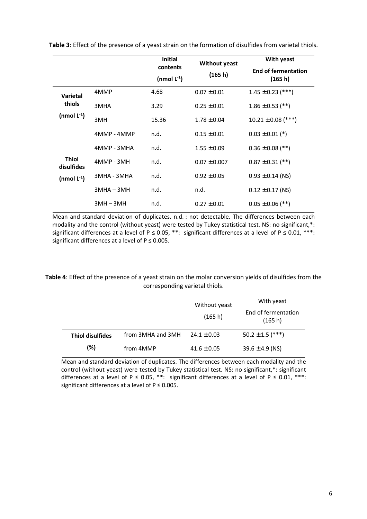|                            |              | <b>Initial</b><br>contents | <b>Without yeast</b> | With yeast                            |
|----------------------------|--------------|----------------------------|----------------------|---------------------------------------|
|                            |              | (nmol $L^{-1}$ )           | (165 h)              | <b>End of fermentation</b><br>(165 h) |
| Varietal                   | 4MMP         | 4.68                       | $0.07 \pm 0.01$      | $1.45 \pm 0.23$ (***)                 |
| thiols<br>(nmol $L^{-1}$ ) | 3MHA         | 3.29                       | $0.25 \pm 0.01$      | $1.86 \pm 0.53$ (**)                  |
|                            | 3MH          | 15.36                      | $1.78 \pm 0.04$      | $10.21 \pm 0.08$ (***)                |
|                            | 4MMP - 4MMP  | n.d.                       | $0.15 \pm 0.01$      | $0.03 \pm 0.01$ (*)                   |
|                            | 4MMP - 3MHA  | n.d.                       | $1.55 \pm 0.09$      | $0.36 \pm 0.08$ (**)                  |
| <b>Thiol</b><br>disulfides | 4MMP - 3MH   | n.d.                       | $0.07 \pm 0.007$     | $0.87 \pm 0.31$ (**)                  |
| (nmol $L^{-1}$ )           | 3MHA - 3MHA  | n.d.                       | $0.92 \pm 0.05$      | $0.93 \pm 0.14$ (NS)                  |
|                            | $3MHA - 3MH$ | n.d.                       | n.d.                 | $0.12 \pm 0.17$ (NS)                  |
|                            | $3MH-3MH$    | n.d.                       | $0.27 \pm 0.01$      | $0.05 \pm 0.06$ (**)                  |

**Table 3**: Effect of the presence of a yeast strain on the formation of disulfides from varietal thiols.

Mean and standard deviation of duplicates. n.d. : not detectable. The differences between each modality and the control (without yeast) were tested by Tukey statistical test. NS: no significant,\*: significant differences at a level of P  $\leq$  0.05, \*\*: significant differences at a level of P  $\leq$  0.01, \*\*\*: significant differences at a level of  $P \le 0.005$ .

#### **Table 4**: Effect of the presence of a yeast strain on the molar conversion yields of disulfides from the corresponding varietal thiols.

|                         |                   | Without yeast<br>(165 h) | With yeast<br>End of fermentation<br>(165 h) |
|-------------------------|-------------------|--------------------------|----------------------------------------------|
| <b>Thiol disulfides</b> | from 3MHA and 3MH | $24.1 \pm 0.03$          | $50.2 \pm 1.5$ (***)                         |
| (%)                     | from 4MMP         | $41.6 \pm 0.05$          | $39.6 \pm 4.9$ (NS)                          |

Mean and standard deviation of duplicates. The differences between each modality and the control (without yeast) were tested by Tukey statistical test. NS: no significant,\*: significant differences at a level of P  $\leq$  0.05, \*\*: significant differences at a level of P  $\leq$  0.01, \*\*\*: significant differences at a level of  $P \le 0.005$ .